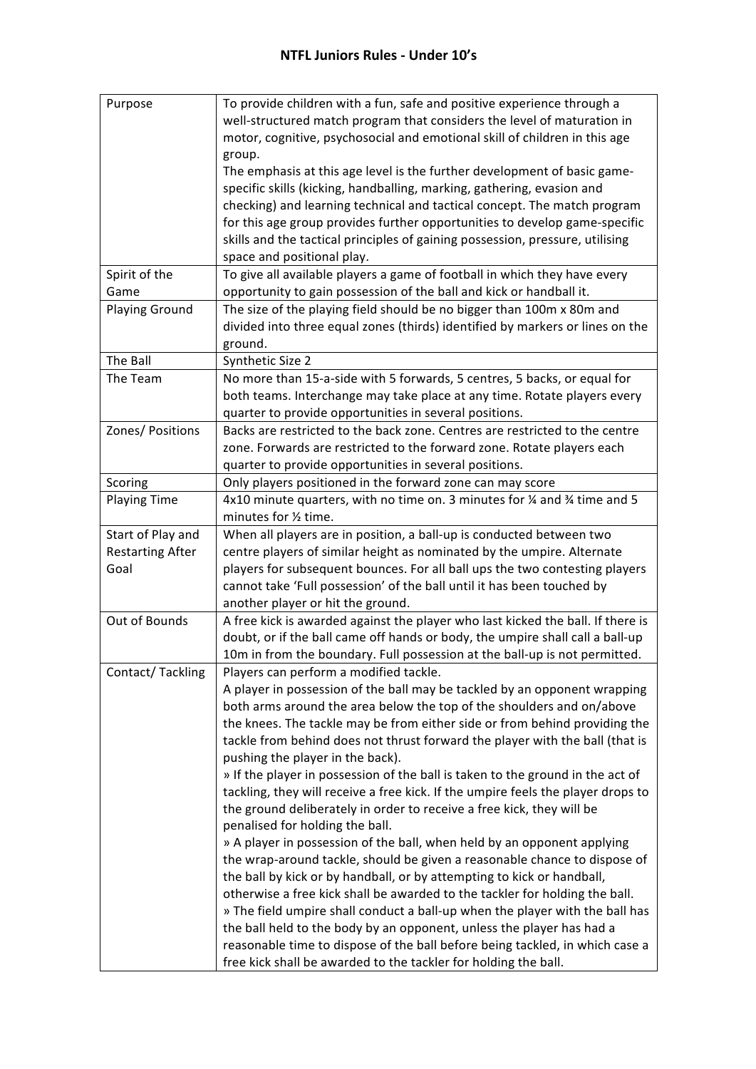| Purpose                 | To provide children with a fun, safe and positive experience through a                                                                                    |
|-------------------------|-----------------------------------------------------------------------------------------------------------------------------------------------------------|
|                         | well-structured match program that considers the level of maturation in                                                                                   |
|                         | motor, cognitive, psychosocial and emotional skill of children in this age                                                                                |
|                         | group.                                                                                                                                                    |
|                         | The emphasis at this age level is the further development of basic game-                                                                                  |
|                         | specific skills (kicking, handballing, marking, gathering, evasion and                                                                                    |
|                         | checking) and learning technical and tactical concept. The match program                                                                                  |
|                         | for this age group provides further opportunities to develop game-specific                                                                                |
|                         | skills and the tactical principles of gaining possession, pressure, utilising                                                                             |
|                         | space and positional play.                                                                                                                                |
| Spirit of the           | To give all available players a game of football in which they have every                                                                                 |
| Game                    | opportunity to gain possession of the ball and kick or handball it.                                                                                       |
| <b>Playing Ground</b>   | The size of the playing field should be no bigger than 100m x 80m and                                                                                     |
|                         | divided into three equal zones (thirds) identified by markers or lines on the                                                                             |
|                         |                                                                                                                                                           |
|                         | ground.                                                                                                                                                   |
| The Ball                | Synthetic Size 2                                                                                                                                          |
| The Team                | No more than 15-a-side with 5 forwards, 5 centres, 5 backs, or equal for                                                                                  |
|                         | both teams. Interchange may take place at any time. Rotate players every                                                                                  |
|                         | quarter to provide opportunities in several positions.                                                                                                    |
| Zones/ Positions        | Backs are restricted to the back zone. Centres are restricted to the centre                                                                               |
|                         | zone. Forwards are restricted to the forward zone. Rotate players each                                                                                    |
|                         | quarter to provide opportunities in several positions.                                                                                                    |
| Scoring                 | Only players positioned in the forward zone can may score                                                                                                 |
| <b>Playing Time</b>     | 4x10 minute quarters, with no time on. 3 minutes for $\frac{1}{4}$ and $\frac{3}{4}$ time and 5                                                           |
|                         | minutes for 1/2 time.                                                                                                                                     |
| Start of Play and       | When all players are in position, a ball-up is conducted between two                                                                                      |
| <b>Restarting After</b> | centre players of similar height as nominated by the umpire. Alternate                                                                                    |
| Goal                    | players for subsequent bounces. For all ball ups the two contesting players                                                                               |
|                         | cannot take 'Full possession' of the ball until it has been touched by                                                                                    |
|                         | another player or hit the ground.                                                                                                                         |
| Out of Bounds           | A free kick is awarded against the player who last kicked the ball. If there is                                                                           |
|                         | doubt, or if the ball came off hands or body, the umpire shall call a ball-up                                                                             |
|                         | 10m in from the boundary. Full possession at the ball-up is not permitted.                                                                                |
| Contact/Tackling        | Players can perform a modified tackle.                                                                                                                    |
|                         | A player in possession of the ball may be tackled by an opponent wrapping                                                                                 |
|                         | both arms around the area below the top of the shoulders and on/above                                                                                     |
|                         | the knees. The tackle may be from either side or from behind providing the                                                                                |
|                         | tackle from behind does not thrust forward the player with the ball (that is                                                                              |
|                         | pushing the player in the back).                                                                                                                          |
|                         | » If the player in possession of the ball is taken to the ground in the act of                                                                            |
|                         |                                                                                                                                                           |
|                         | tackling, they will receive a free kick. If the umpire feels the player drops to<br>the ground deliberately in order to receive a free kick, they will be |
|                         |                                                                                                                                                           |
|                         | penalised for holding the ball.                                                                                                                           |
|                         | » A player in possession of the ball, when held by an opponent applying                                                                                   |
|                         | the wrap-around tackle, should be given a reasonable chance to dispose of                                                                                 |
|                         | the ball by kick or by handball, or by attempting to kick or handball,                                                                                    |
|                         | otherwise a free kick shall be awarded to the tackler for holding the ball.                                                                               |
|                         | » The field umpire shall conduct a ball-up when the player with the ball has                                                                              |
|                         | the ball held to the body by an opponent, unless the player has had a                                                                                     |
|                         | reasonable time to dispose of the ball before being tackled, in which case a                                                                              |
|                         | free kick shall be awarded to the tackler for holding the ball.                                                                                           |